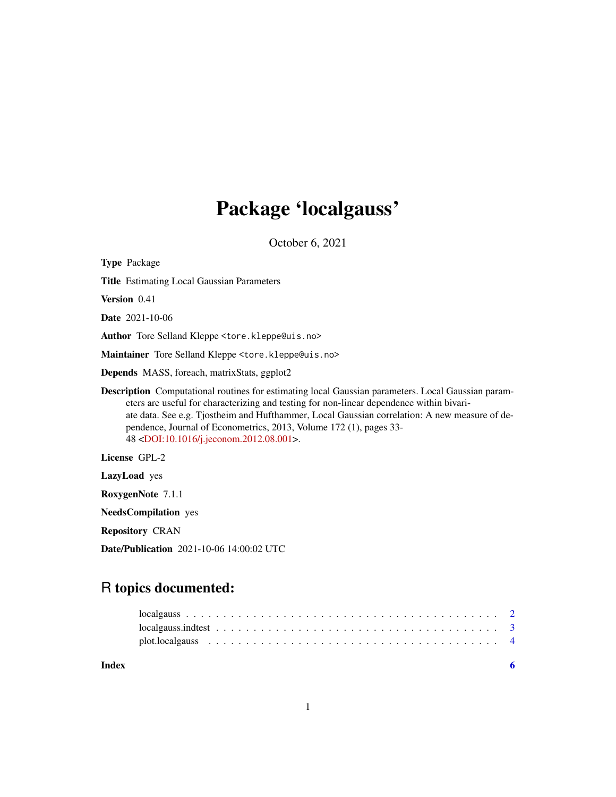## Package 'localgauss'

October 6, 2021

Type Package Title Estimating Local Gaussian Parameters Version 0.41 Date 2021-10-06 Author Tore Selland Kleppe <tore.kleppe@uis.no> Maintainer Tore Selland Kleppe <tore.kleppe@uis.no> Depends MASS, foreach, matrixStats, ggplot2 Description Computational routines for estimating local Gaussian parameters. Local Gaussian parameters are useful for characterizing and testing for non-linear dependence within bivariate data. See e.g. Tjostheim and Hufthammer, Local Gaussian correlation: A new measure of dependence, Journal of Econometrics, 2013, Volume 172 (1), pages 33- 48 [<DOI:10.1016/j.jeconom.2012.08.001>](https://doi.org/10.1016/j.jeconom.2012.08.001). License GPL-2 LazyLoad yes RoxygenNote 7.1.1

NeedsCompilation yes

Repository CRAN

Date/Publication 2021-10-06 14:00:02 UTC

### R topics documented:

| Index |  |  |  |  |  |  |  |  |  |  |  |  |  |  |  |  |  |  |
|-------|--|--|--|--|--|--|--|--|--|--|--|--|--|--|--|--|--|--|
|       |  |  |  |  |  |  |  |  |  |  |  |  |  |  |  |  |  |  |
|       |  |  |  |  |  |  |  |  |  |  |  |  |  |  |  |  |  |  |
|       |  |  |  |  |  |  |  |  |  |  |  |  |  |  |  |  |  |  |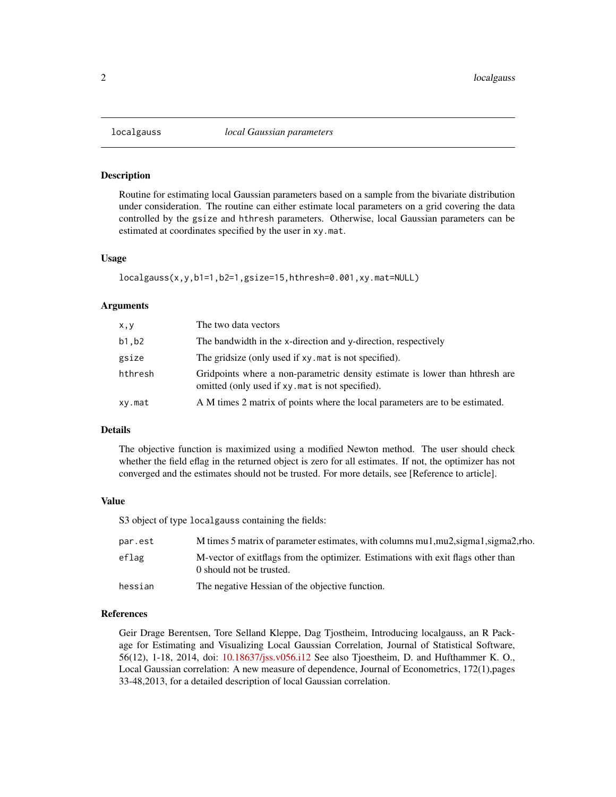<span id="page-1-1"></span><span id="page-1-0"></span>

#### Description

Routine for estimating local Gaussian parameters based on a sample from the bivariate distribution under consideration. The routine can either estimate local parameters on a grid covering the data controlled by the gsize and hthresh parameters. Otherwise, local Gaussian parameters can be estimated at coordinates specified by the user in xy.mat.

#### Usage

```
localgauss(x,y,b1=1,b2=1,gsize=15,hthresh=0.001,xy.mat=NULL)
```
#### Arguments

| x, y    | The two data vectors                                                                                                            |
|---------|---------------------------------------------------------------------------------------------------------------------------------|
| b1,b2   | The bandwidth in the x-direction and y-direction, respectively                                                                  |
| gsize   | The gridsize (only used if xy, mat is not specified).                                                                           |
| hthresh | Gridpoints where a non-parametric density estimate is lower than hthresh are<br>omitted (only used if xy mat is not specified). |
| xy.mat  | A M times 2 matrix of points where the local parameters are to be estimated.                                                    |

#### Details

The objective function is maximized using a modified Newton method. The user should check whether the field eflag in the returned object is zero for all estimates. If not, the optimizer has not converged and the estimates should not be trusted. For more details, see [Reference to article].

#### Value

S3 object of type localgauss containing the fields:

| par.est | M times 5 matrix of parameter estimates, with columns mu1, mu2, sigma1, sigma2, rho.                            |
|---------|-----------------------------------------------------------------------------------------------------------------|
| eflag   | M-vector of exit algebra from the optimizer. Estimations with exit flags other than<br>0 should not be trusted. |
| hessian | The negative Hessian of the objective function.                                                                 |

#### References

Geir Drage Berentsen, Tore Selland Kleppe, Dag Tjostheim, Introducing localgauss, an R Package for Estimating and Visualizing Local Gaussian Correlation, Journal of Statistical Software, 56(12), 1-18, 2014, doi: [10.18637/jss.v056.i12](https://doi.org/10.18637/jss.v056.i12) See also Tjoestheim, D. and Hufthammer K. O., Local Gaussian correlation: A new measure of dependence, Journal of Econometrics, 172(1),pages 33-48,2013, for a detailed description of local Gaussian correlation.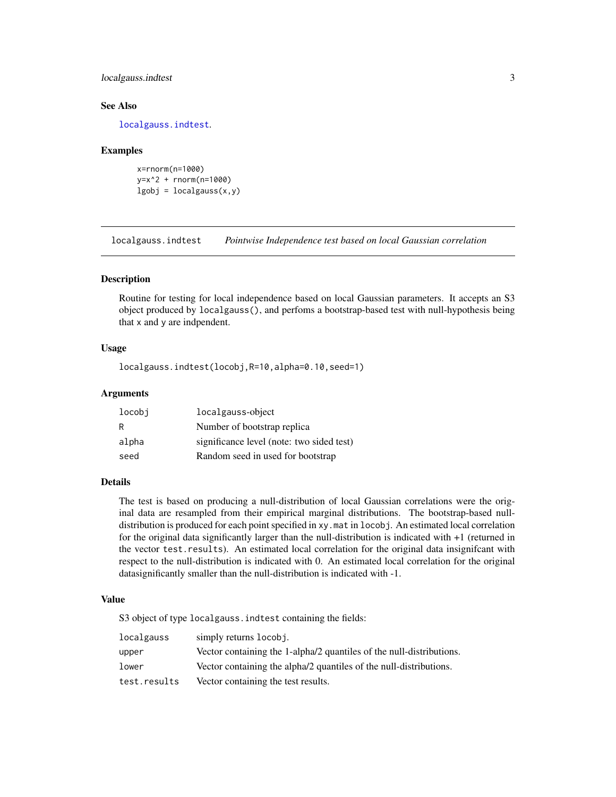#### <span id="page-2-0"></span>localgauss.indtest 3

#### See Also

[localgauss.indtest](#page-2-1).

#### Examples

```
x=rnorm(n=1000)
y=x^2 + rnorm(n=1000)
lgobj = localgauss(x,y)
```
<span id="page-2-1"></span>localgauss.indtest *Pointwise Independence test based on local Gaussian correlation*

#### Description

Routine for testing for local independence based on local Gaussian parameters. It accepts an S3 object produced by localgauss(), and perfoms a bootstrap-based test with null-hypothesis being that x and y are indpendent.

#### Usage

localgauss.indtest(locobj,R=10,alpha=0.10,seed=1)

#### Arguments

| locobi | localgauss-object                         |
|--------|-------------------------------------------|
| R      | Number of bootstrap replica               |
| alpha  | significance level (note: two sided test) |
| seed   | Random seed in used for bootstrap         |

#### Details

The test is based on producing a null-distribution of local Gaussian correlations were the original data are resampled from their empirical marginal distributions. The bootstrap-based nulldistribution is produced for each point specified in xy.mat in locobj. An estimated local correlation for the original data significantly larger than the null-distribution is indicated with +1 (returned in the vector test.results). An estimated local correlation for the original data insignifcant with respect to the null-distribution is indicated with 0. An estimated local correlation for the original datasignificantly smaller than the null-distribution is indicated with -1.

#### Value

S3 object of type localgauss. indtest containing the fields:

| localgauss   | simply returns locobj.                                               |
|--------------|----------------------------------------------------------------------|
| upper        | Vector containing the 1-alpha/2 quantiles of the null-distributions. |
| lower        | Vector containing the alpha/2 quantiles of the null-distributions.   |
| test.results | Vector containing the test results.                                  |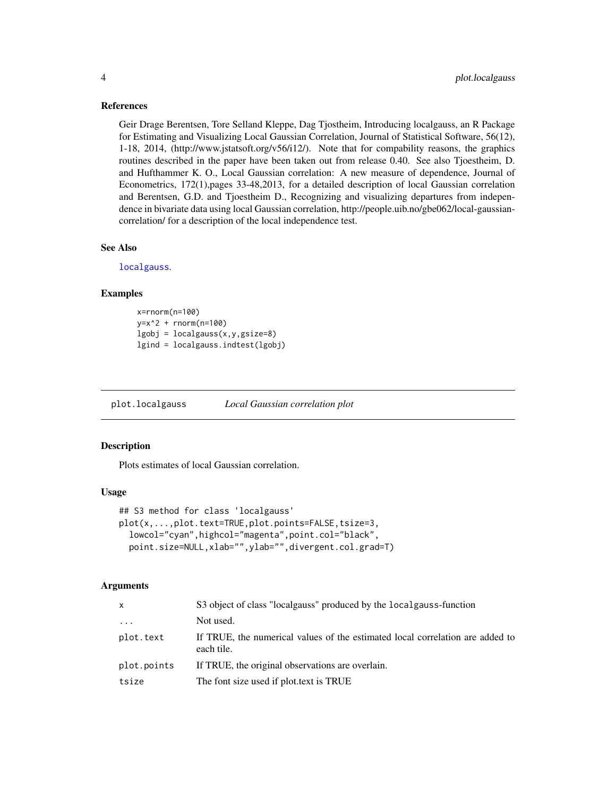#### <span id="page-3-0"></span>References

Geir Drage Berentsen, Tore Selland Kleppe, Dag Tjostheim, Introducing localgauss, an R Package for Estimating and Visualizing Local Gaussian Correlation, Journal of Statistical Software, 56(12), 1-18, 2014, (http://www.jstatsoft.org/v56/i12/). Note that for compability reasons, the graphics routines described in the paper have been taken out from release 0.40. See also Tjoestheim, D. and Hufthammer K. O., Local Gaussian correlation: A new measure of dependence, Journal of Econometrics, 172(1),pages 33-48,2013, for a detailed description of local Gaussian correlation and Berentsen, G.D. and Tjoestheim D., Recognizing and visualizing departures from independence in bivariate data using local Gaussian correlation, http://people.uib.no/gbe062/local-gaussiancorrelation/ for a description of the local independence test.

#### See Also

[localgauss](#page-1-1).

#### Examples

```
x=rnorm(n=100)
y=x^2 + rnorm(n=100)lgobj = localgauss(x, y, gsize=8)lgind = localgauss.indtest(lgobj)
```
plot.localgauss *Local Gaussian correlation plot*

#### **Description**

Plots estimates of local Gaussian correlation.

#### Usage

```
## S3 method for class 'localgauss'
plot(x,...,plot.text=TRUE,plot.points=FALSE,tsize=3,
  lowcol="cyan",highcol="magenta",point.col="black",
 point.size=NULL,xlab="",ylab="",divergent.col.grad=T)
```
#### Arguments

| X           | S3 object of class "localgauss" produced by the localgauss-function                         |
|-------------|---------------------------------------------------------------------------------------------|
| $\cdots$    | Not used.                                                                                   |
| plot.text   | If TRUE, the numerical values of the estimated local correlation are added to<br>each tile. |
| plot.points | If TRUE, the original observations are overlain.                                            |
| tsize       | The font size used if plot text is TRUE                                                     |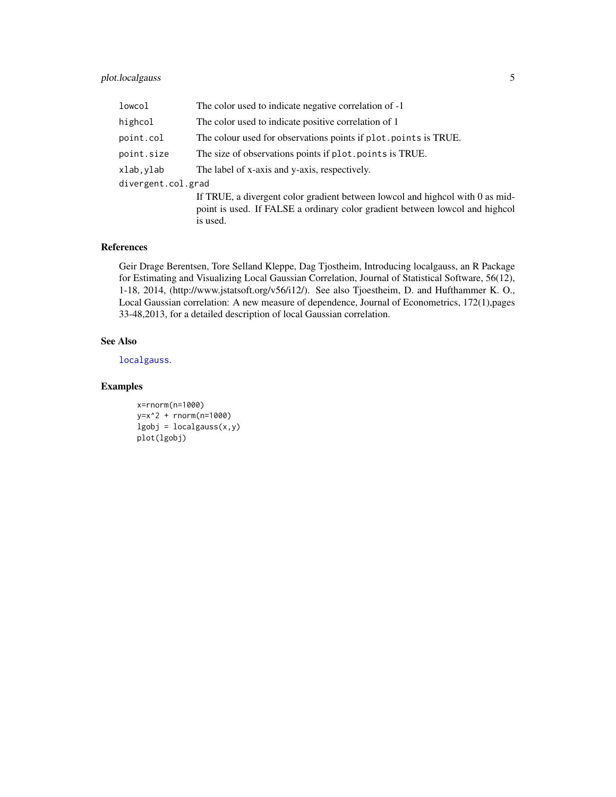#### <span id="page-4-0"></span>plot.localgauss 5

| lowcol             | The color used to indicate negative correlation of -1                                                                                                                     |
|--------------------|---------------------------------------------------------------------------------------------------------------------------------------------------------------------------|
| highcol            | The color used to indicate positive correlation of 1                                                                                                                      |
| point.col          | The colour used for observations points if plot points is TRUE.                                                                                                           |
| point.size         | The size of observations points if plot points is TRUE.                                                                                                                   |
| xlab,ylab          | The label of x-axis and y-axis, respectively.                                                                                                                             |
| divergent.col.grad |                                                                                                                                                                           |
|                    | If TRUE, a divergent color gradient between lowcol and highcol with 0 as mid-<br>point is used. If FALSE a ordinary color gradient between lowcol and highcol<br>is used. |

#### References

Geir Drage Berentsen, Tore Selland Kleppe, Dag Tjostheim, Introducing localgauss, an R Package for Estimating and Visualizing Local Gaussian Correlation, Journal of Statistical Software, 56(12), 1-18, 2014, (http://www.jstatsoft.org/v56/i12/). See also Tjoestheim, D. and Hufthammer K. O., Local Gaussian correlation: A new measure of dependence, Journal of Econometrics, 172(1),pages 33-48,2013, for a detailed description of local Gaussian correlation.

#### See Also

[localgauss](#page-1-1).

#### Examples

```
x=rnorm(n=1000)
y=x^2 + rnorm(n=1000)
lgobj = localgauss(x,y)plot(lgobj)
```